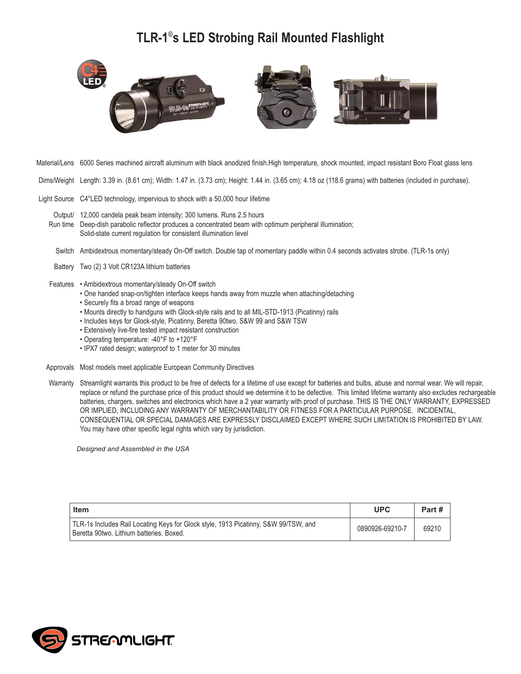## **TLR-1**® **s LED Strobing Rail Mounted Flashlight**



- Material/Lens 6000 Series machined aircraft aluminum with black anodized finish.High temperature, shock mounted, impact resistant Boro Float glass lens
- Dims/Weight Length: 3.39 in. (8.61 cm); Width: 1.47 in. (3.73 cm); Height: 1.44 in. (3.65 cm); 4.18 oz (118.6 grams) with batteries (included in purchase).
- Light Source C4<sup>®</sup>LED technology, impervious to shock with a 50,000 hour lifetime

Output/ 12,000 candela peak beam intensity; 300 lumens. Runs 2.5 hours Run time Deep-dish parabolic reflector produces a concentrated beam with optimum peripheral illumination; Solid-state current regulation for consistent illumination level

- Switch Ambidextrous momentary/steady On-Off switch. Double tap of momentary paddle within 0.4 seconds activates strobe. (TLR-1s only)
- Battery Two (2) 3 Volt CR123A lithium batteries
- Features Ambidextrous momentary/steady On-Off switch
	- One handed snap-on/tighten interface keeps hands away from muzzle when attaching/detaching
	- Securely fits a broad range of weapons
	- Mounts directly to handguns with Glock-style rails and to all MIL-STD-1913 (Picatinny) rails
	- Includes keys for Glock-style, Picatinny, Beretta 90two, S&W 99 and S&W TSW
	- Extensively live-fire tested impact resistant construction
	- Operating temperature: -40°F to +120°F
	- IPX7 rated design; waterproof to 1 meter for 30 minutes
- Approvals Most models meet applicable European Community Directives
- Warranty Streamlight warrants this product to be free of defects for a lifetime of use except for batteries and bulbs, abuse and normal wear. We will repair, replace or refund the purchase price of this product should we determine it to be defective. This limited lifetime warranty also excludes rechargeable batteries, chargers, switches and electronics which have a 2 year warranty with proof of purchase. THIS IS THE ONLY WARRANTY, EXPRESSED OR IMPLIED, INCLUDING ANY WARRANTY OF MERCHANTABILITY OR FITNESS FOR A PARTICULAR PURPOSE. INCIDENTAL, CONSEQUENTIAL OR SPECIAL DAMAGES ARE EXPRESSLY DISCLAIMED EXCEPT WHERE SUCH LIMITATION IS PROHIBITED BY LAW. You may have other specific legal rights which vary by jurisdiction.

*Designed and Assembled in the USA*

| Item                                                                                                                            | <b>UPC</b>      | Part # |
|---------------------------------------------------------------------------------------------------------------------------------|-----------------|--------|
| TLR-1s Includes Rail Locating Keys for Glock style, 1913 Picatinny, S&W 99/TSW, and<br>Beretta 90two. Lithium batteries. Boxed. | 0890926-69210-7 | 69210  |

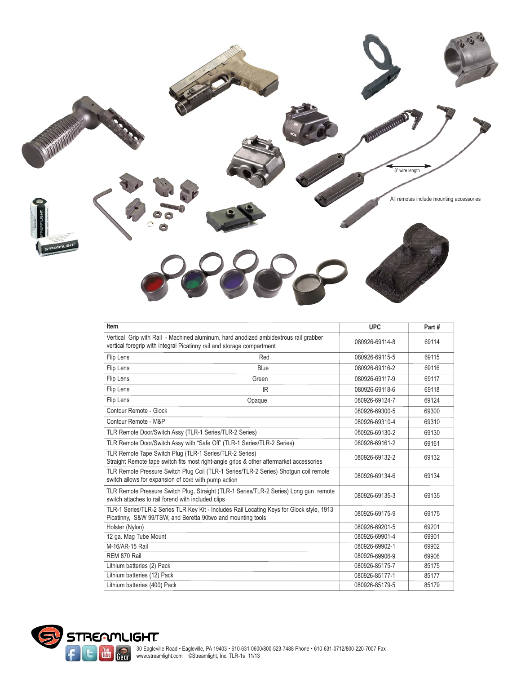

| Item                                                                                                                                                           | <b>UPC</b>     | Part# |
|----------------------------------------------------------------------------------------------------------------------------------------------------------------|----------------|-------|
| Vertical Grip with Rail - Machined aluminum, hard anodized ambidextrous rail grabber<br>vertical foregrip with integral Picatinny rail and storage compartment | 080926-69114-8 | 69114 |
| Flip Lens<br>Red                                                                                                                                               | 080926-69115-5 | 69115 |
| Flip Lens<br><b>Blue</b>                                                                                                                                       | 080926-69116-2 | 69116 |
| Flip Lens<br>Green                                                                                                                                             | 080926-69117-9 | 69117 |
| Flip Lens<br>IR                                                                                                                                                | 080926-69118-6 | 69118 |
| Flip Lens<br>Opaque                                                                                                                                            | 080926-69124-7 | 69124 |
| Contour Remote - Glock                                                                                                                                         | 080926-69300-5 | 69300 |
| Contour Remote - M&P                                                                                                                                           | 080926-69310-4 | 69310 |
| TLR Remote Door/Switch Assy (TLR-1 Series/TLR-2 Series)                                                                                                        | 080926-69130-2 | 69130 |
| TLR Remote Door/Switch Assy with "Safe Off" (TLR-1 Series/TLR-2 Series)                                                                                        | 080926-69161-2 | 69161 |
| TLR Remote Tape Switch Plug (TLR-1 Series/TLR-2 Series)<br>Straight Remote tape switch fits most right-angle grips & other aftermarket accessories             | 080926-69132-2 | 69132 |
| TLR Remote Pressure Switch Plug Coil (TLR-1 Series/TLR-2 Series) Shotgun coil remote<br>switch allows for expansion of cord with pump action                   | 080926-69134-6 | 69134 |
| TLR Remote Pressure Switch Plug, Straight (TLR-1 Series/TLR-2 Series) Long gun remote<br>switch attaches to rail forend with included clips                    | 080926-69135-3 | 69135 |
| TLR-1 Series/TLR-2 Series TLR Key Kit - Includes Rail Locating Keys for Glock style, 1913<br>Picatinny, S&W 99/TSW, and Beretta 90two and mounting tools       | 080926-69175-9 | 69175 |
| Holster (Nylon)                                                                                                                                                | 080926-69201-5 | 69201 |
| 12 ga. Mag Tube Mount                                                                                                                                          | 080926-69901-4 | 69901 |
| M-16/AR-15 Rail                                                                                                                                                | 080926-69902-1 | 69902 |
| REM 870 Rail                                                                                                                                                   | 080926-69906-9 | 69906 |
| Lithium batteries (2) Pack                                                                                                                                     | 080926-85175-7 | 85175 |
| Lithium batteries (12) Pack                                                                                                                                    | 080926-85177-1 | 85177 |
| Lithium batteries (400) Pack                                                                                                                                   | 080926-85179-5 | 85179 |

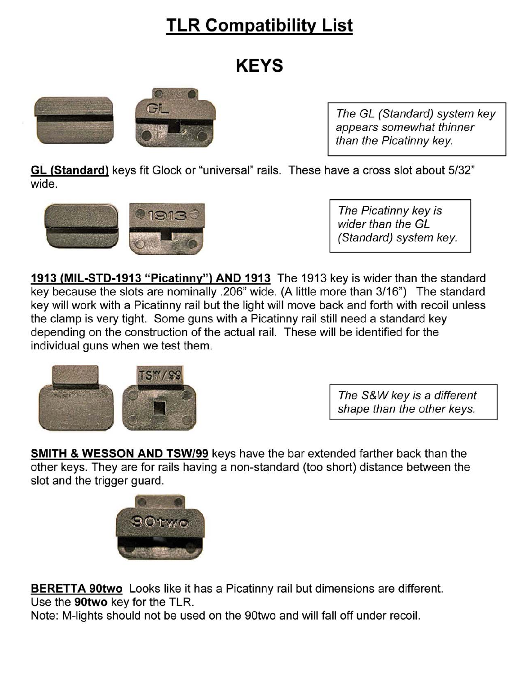# **TLR Compatibility List**

# **KEYS**



The GL (Standard) system key appears somewhat thinner than the Picatinny key.

GL (Standard) keys fit Glock or "universal" rails. These have a cross slot about 5/32" wide.



The Picatinny key is wider than the GL (Standard) system key.

1913 (MIL-STD-1913 "Picatinny") AND 1913 The 1913 key is wider than the standard key because the slots are nominally .206" wide. (A little more than 3/16") The standard key will work with a Picatinny rail but the light will move back and forth with recoil unless the clamp is very tight. Some guns with a Picatinny rail still need a standard key depending on the construction of the actual rail. These will be identified for the individual guns when we test them.



The S&W key is a different shape than the other keys.

**SMITH & WESSON AND TSW/99** keys have the bar extended farther back than the other keys. They are for rails having a non-standard (too short) distance between the slot and the trigger guard.



**BERETTA 90two** Looks like it has a Picatinny rail but dimensions are different. Use the 90two key for the TLR.

Note: M-lights should not be used on the 90two and will fall off under recoil.